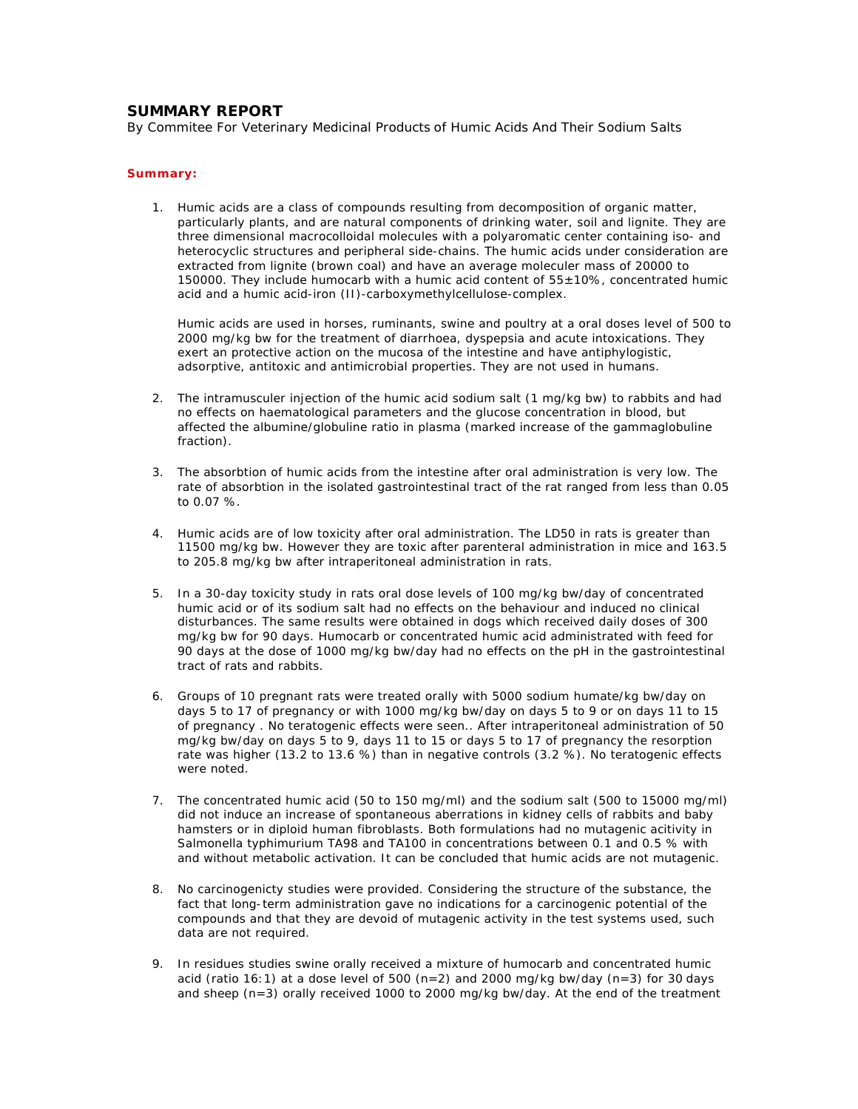## **SUMMARY REPORT**

By Commitee For Veterinary Medicinal Products of Humic Acids And Their Sodium Salts

## **Summary:**

1. Humic acids are a class of compounds resulting from decomposition of organic matter, particularly plants, and are natural components of drinking water, soil and lignite. They are three dimensional macrocolloidal molecules with a polyaromatic center containing iso- and heterocyclic structures and peripheral side-chains. The humic acids under consideration are extracted from lignite (brown coal) and have an average moleculer mass of 20000 to 150000. They include humocarb with a humic acid content of  $55\pm10\%$ , concentrated humic acid and a humic acid-iron (II)-carboxymethylcellulose-complex.

Humic acids are used in horses, ruminants, swine and poultry at a oral doses level of 500 to 2000 mg/kg bw for the treatment of diarrhoea, dyspepsia and acute intoxications. They exert an protective action on the mucosa of the intestine and have antiphylogistic, adsorptive, antitoxic and antimicrobial properties. They are not used in humans.

- 2. The intramusculer injection of the humic acid sodium salt (1 mg/kg bw) to rabbits and had no effects on haematological parameters and the glucose concentration in blood, but affected the albumine/globuline ratio in plasma (marked increase of the gammaglobuline fraction).
- 3. The absorbtion of humic acids from the intestine after oral administration is very low. The rate of absorbtion in the isolated gastrointestinal tract of the rat ranged from less than 0.05 to 0.07 %.
- 4. Humic acids are of low toxicity after oral administration. The LD50 in rats is greater than 11500 mg/kg bw. However they are toxic after parenteral administration in mice and 163.5 to 205.8 mg/kg bw after intraperitoneal administration in rats.
- 5. In a 30-day toxicity study in rats oral dose levels of 100 mg/kg bw/day of concentrated humic acid or of its sodium salt had no effects on the behaviour and induced no clinical disturbances. The same results were obtained in dogs which received daily doses of 300 mg/kg bw for 90 days. Humocarb or concentrated humic acid administrated with feed for 90 days at the dose of 1000 mg/kg bw/day had no effects on the pH in the gastrointestinal tract of rats and rabbits.
- 6. Groups of 10 pregnant rats were treated orally with 5000 sodium humate/kg bw/day on days 5 to 17 of pregnancy or with 1000 mg/kg bw/day on days 5 to 9 or on days 11 to 15 of pregnancy . No teratogenic effects were seen.. After intraperitoneal administration of 50 mg/kg bw/day on days 5 to 9, days 11 to 15 or days 5 to 17 of pregnancy the resorption rate was higher (13.2 to 13.6 %) than in negative controls (3.2 %). No teratogenic effects were noted.
- 7. The concentrated humic acid (50 to 150 mg/ml) and the sodium salt (500 to 15000 mg/ml) did not induce an increase of spontaneous aberrations in kidney cells of rabbits and baby hamsters or in diploid human fibroblasts. Both formulations had no mutagenic acitivity in Salmonella typhimurium TA98 and TA100 in concentrations between 0.1 and 0.5 % with and without metabolic activation. It can be concluded that humic acids are not mutagenic.
- 8. No carcinogenicty studies were provided. Considering the structure of the substance, the fact that long-term administration gave no indications for a carcinogenic potential of the compounds and that they are devoid of mutagenic activity in the test systems used, such data are not required.
- 9. In residues studies swine orally received a mixture of humocarb and concentrated humic acid (ratio 16:1) at a dose level of 500 ( $n=2$ ) and 2000 mg/kg bw/day ( $n=3$ ) for 30 days and sheep (n=3) orally received 1000 to 2000 mg/kg bw/day. At the end of the treatment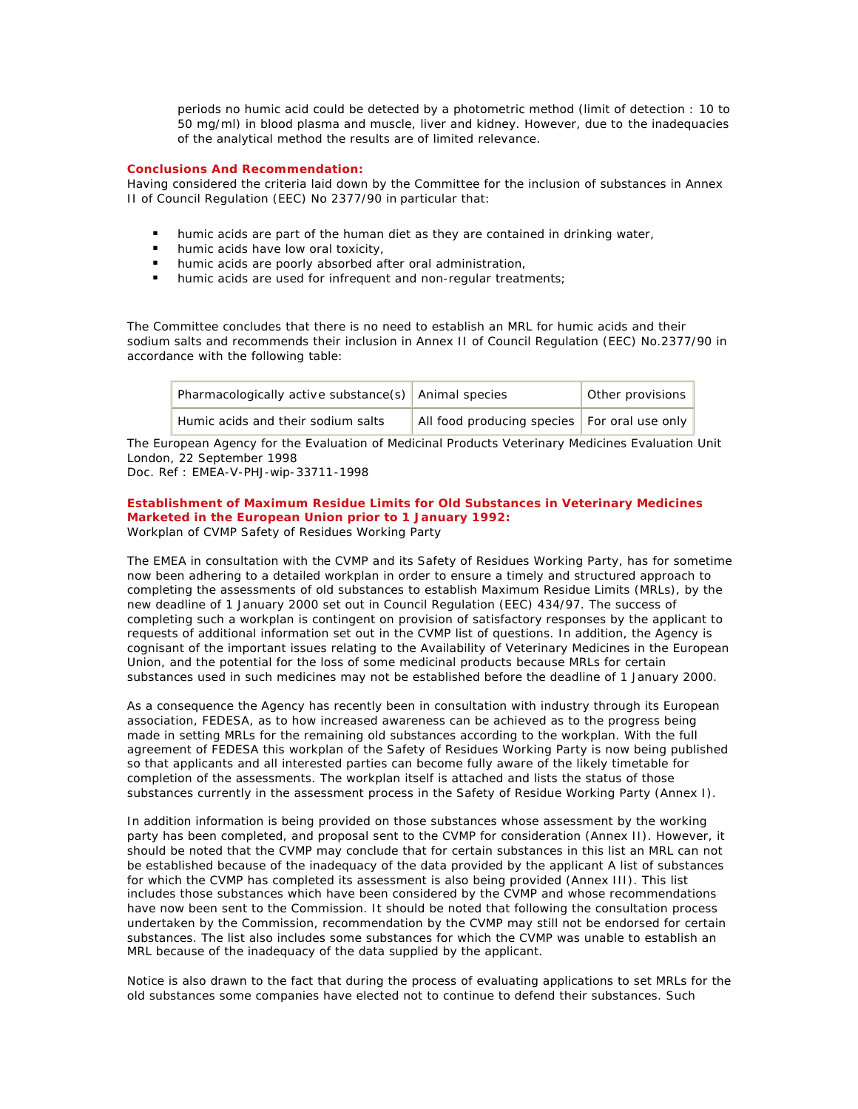periods no humic acid could be detected by a photometric method (limit of detection : 10 to 50 mg/ml) in blood plasma and muscle, liver and kidney. However, due to the inadequacies of the analytical method the results are of limited relevance.

## **Conclusions And Recommendation:**

Having considered the criteria laid down by the Committee for the inclusion of substances in Annex II of Council Regulation (EEC) No 2377/90 in particular that:

- humic acids are part of the human diet as they are contained in drinking water,
- **I** humic acids have low oral toxicity,
- $\blacksquare$  humic acids are poorly absorbed after oral administration,
- **I** humic acids are used for infrequent and non-regular treatments;

The Committee concludes that there is no need to establish an MRL for humic acids and their sodium salts and recommends their inclusion in Annex II of Council Regulation (EEC) No.2377/90 in accordance with the following table:

| Pharmacologically active substance(s) $\vert$ Animal species |                                                | Other provisions |
|--------------------------------------------------------------|------------------------------------------------|------------------|
| Humic acids and their sodium salts                           | All food producing species   For oral use only |                  |

The European Agency for the Evaluation of Medicinal Products Veterinary Medicines Evaluation Unit London, 22 September 1998

Doc. Ref : EMEA-V-PHJ-wip-33711-1998

## **Establishment of Maximum Residue Limits for Old Substances in Veterinary Medicines Marketed in the European Union prior to 1 January 1992:**

Workplan of CVMP Safety of Residues Working Party

The EMEA in consultation with the CVMP and its Safety of Residues Working Party, has for sometime now been adhering to a detailed workplan in order to ensure a timely and structured approach to completing the assessments of old substances to establish Maximum Residue Limits (MRLs), by the new deadline of 1 January 2000 set out in Council Regulation (EEC) 434/97. The success of completing such a workplan is contingent on provision of satisfactory responses by the applicant to requests of additional information set out in the CVMP list of questions. In addition, the Agency is cognisant of the important issues relating to the Availability of Veterinary Medicines in the European Union, and the potential for the loss of some medicinal products because MRLs for certain substances used in such medicines may not be established before the deadline of 1 January 2000.

As a consequence the Agency has recently been in consultation with industry through its European association, FEDESA, as to how increased awareness can be achieved as to the progress being made in setting MRLs for the remaining old substances according to the workplan. With the full agreement of FEDESA this workplan of the Safety of Residues Working Party is now being published so that applicants and all interested parties can become fully aware of the likely timetable for completion of the assessments. The workplan itself is attached and lists the status of those substances currently in the assessment process in the Safety of Residue Working Party (Annex I).

In addition information is being provided on those substances whose assessment by the working party has been completed, and proposal sent to the CVMP for consideration (Annex II). However, it should be noted that the CVMP may conclude that for certain substances in this list an MRL can not be established because of the inadequacy of the data provided by the applicant A list of substances for which the CVMP has completed its assessment is also being provided (Annex III). This list includes those substances which have been considered by the CVMP and whose recommendations have now been sent to the Commission. It should be noted that following the consultation process undertaken by the Commission, recommendation by the CVMP may still not be endorsed for certain substances. The list also includes some substances for which the CVMP was unable to establish an MRL because of the inadequacy of the data supplied by the applicant.

Notice is also drawn to the fact that during the process of evaluating applications to set MRLs for the old substances some companies have elected not to continue to defend their substances. Such